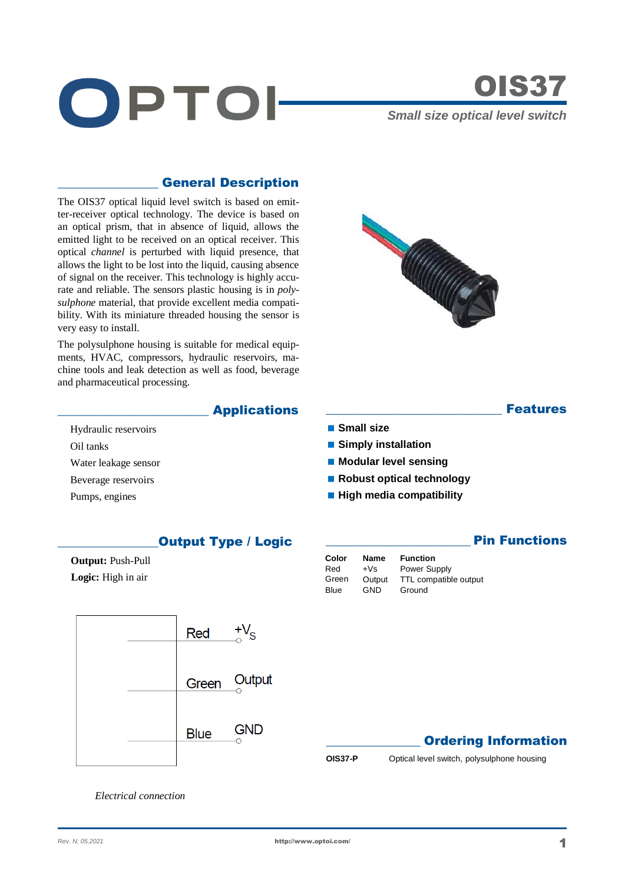

# OIS37

**Features** 

**Pin Functions** 

*Small size optical level switch* 

### \_\_\_\_\_\_\_\_\_\_\_\_\_\_\_\_ General Description

The OIS37 optical liquid level switch is based on emitter-receiver optical technology. The device is based on an optical prism, that in absence of liquid, allows the emitted light to be received on an optical receiver. This optical *channel* is perturbed with liquid presence, that allows the light to be lost into the liquid, causing absence of signal on the receiver. This technology is highly accurate and reliable. The sensors plastic housing is in *polysulphone* material, that provide excellent media compatibility. With its miniature threaded housing the sensor is very easy to install.

The polysulphone housing is suitable for medical equipments, HVAC, compressors, hydraulic reservoirs, machine tools and leak detection as well as food, beverage and pharmaceutical processing.



## **Applications**

- Hydraulic reservoirs Oil tanks
- Water leakage sensor
- Beverage reservoirs
- Pumps, engines

## **Output Type / Logic**

 **Output:** Push-Pull  **Logic:** High in air





**Small size**

 **Simply installation Modular level sensing** ■ Robust optical technology **High media compatibility** 

> Output TTL compatible output<br>GND Ground Ground



**OIS37-P** Optical level switch, polysulphone housing

*Electrical connection*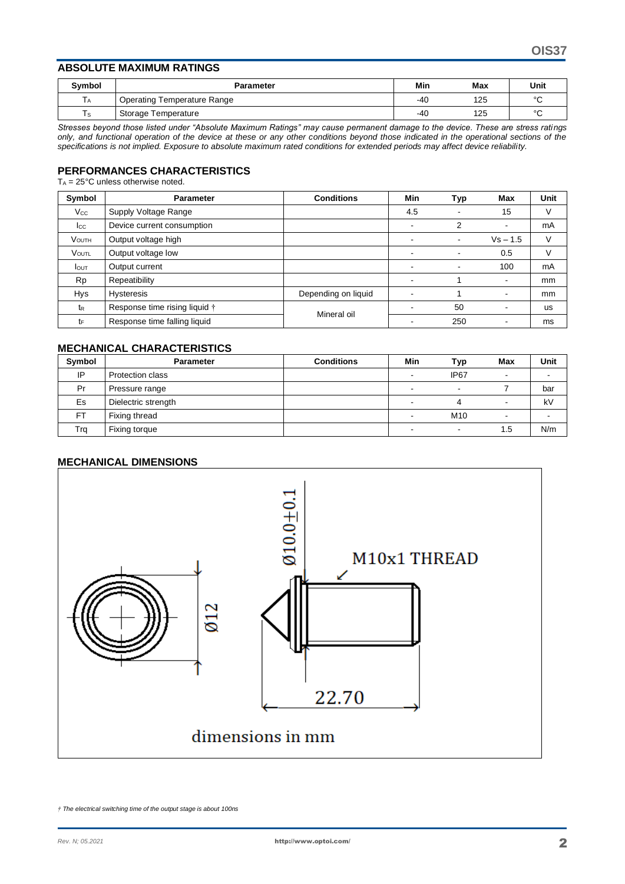#### **ABSOLUTE MAXIMUM RATINGS**

| <b>Symbol</b> | <b>Parameter</b>            | Min   | <b>Max</b> | Unit   |
|---------------|-----------------------------|-------|------------|--------|
| ΙA            | Operating Temperature Range | $-40$ | 125        | $\sim$ |
| l s           | Storage Temperature         | $-40$ | 125        | $\sim$ |

*Stresses beyond those listed under "Absolute Maximum Ratings" may cause permanent damage to the device. These are stress ratings only, and functional operation of the device at these or any other conditions beyond those indicated in the operational sections of the specifications is not implied. Exposure to absolute maximum rated conditions for extended periods may affect device reliability.*

#### **PERFORMANCES CHARACTERISTICS**

 $T_A = 25^{\circ}$ C unless otherwise noted.

| Symbol         | Parameter                     | <b>Conditions</b>   | Min | Typ                      | Max            | <b>Unit</b> |
|----------------|-------------------------------|---------------------|-----|--------------------------|----------------|-------------|
| $V_{\rm CC}$   | Supply Voltage Range          |                     | 4.5 |                          | 15             | V           |
| $_{\rm lcc}$   | Device current consumption    |                     |     | 2                        | ٠              | mA          |
| <b>VOUTH</b>   | Output voltage high           |                     |     | $\overline{\phantom{0}}$ | $Vs - 1.5$     | V           |
| <b>VOUTL</b>   | Output voltage low            |                     |     | ۰                        | 0.5            | V           |
| <b>I</b> out   | Output current                |                     | -   | $\overline{\phantom{a}}$ | 100            | mA          |
| <b>Rp</b>      | Repeatibility                 |                     |     |                          | $\blacksquare$ | mm          |
| Hys            | <b>Hysteresis</b>             | Depending on liquid |     |                          | $\,$           | mm          |
| t <sub>R</sub> | Response time rising liquid † | Mineral oil         |     | 50                       |                | <b>us</b>   |
| tF             | Response time falling liquid  |                     |     | 250                      |                | ms          |

#### **MECHANICAL CHARACTERISTICS**

| Symbol    | <b>Parameter</b>    | <b>Conditions</b> | Min | Typ              | <b>Max</b> | Unit |
|-----------|---------------------|-------------------|-----|------------------|------------|------|
| IP        | Protection class    |                   | -   | IP <sub>67</sub> | -          |      |
| Pr        | Pressure range      |                   |     | $\,$             |            | bar  |
| Es        | Dielectric strength |                   |     | 4                | -          | kV   |
| <b>FT</b> | Fixing thread       |                   |     | M <sub>10</sub>  |            |      |
| Trg       | Fixing torque       |                   |     | -                | 1.5        | N/m  |

#### **MECHANICAL DIMENSIONS**



*† The electrical switching time of the output stage is about 100ns*